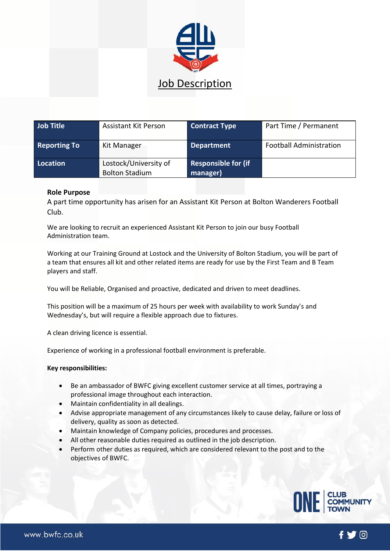

| <b>Job Title</b>    | <b>Assistant Kit Person</b>                    | <b>Contract Type</b>                   | Part Time / Permanent          |
|---------------------|------------------------------------------------|----------------------------------------|--------------------------------|
| <b>Reporting To</b> | Kit Manager                                    | <b>Department</b>                      | <b>Football Administration</b> |
| <b>Location</b>     | Lostock/University of<br><b>Bolton Stadium</b> | <b>Responsible for (if</b><br>manager) |                                |

## **Role Purpose**

A part time opportunity has arisen for an Assistant Kit Person at Bolton Wanderers Football Club.

We are looking to recruit an experienced Assistant Kit Person to join our busy Football Administration team.

Working at our Training Ground at Lostock and the University of Bolton Stadium, you will be part of a team that ensures all kit and other related items are ready for use by the First Team and B Team players and staff.

You will be Reliable, Organised and proactive, dedicated and driven to meet deadlines.

This position will be a maximum of 25 hours per week with availability to work Sunday's and Wednesday's, but will require a flexible approach due to fixtures.

A clean driving licence is essential.

Experience of working in a professional football environment is preferable.

## **Key responsibilities:**

- Be an ambassador of BWFC giving excellent customer service at all times, portraying a professional image throughout each interaction.
- Maintain confidentiality in all dealings.
- Advise appropriate management of any circumstances likely to cause delay, failure or loss of delivery, quality as soon as detected.
- Maintain knowledge of Company policies, procedures and processes.
- All other reasonable duties required as outlined in the job description.
- Perform other duties as required, which are considered relevant to the post and to the objectives of BWFC.